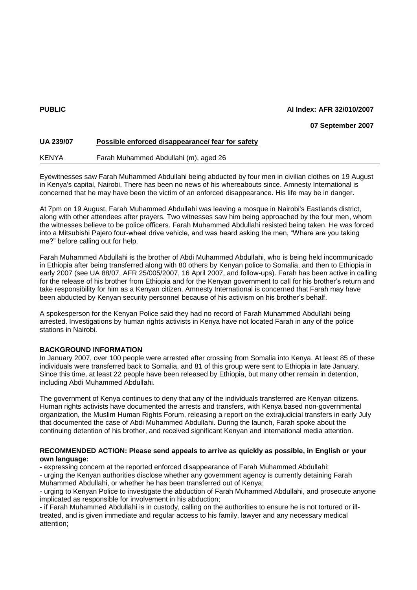## **PUBLIC AI Index: AFR 32/010/2007**

## **07 September 2007**

# **UA 239/07 Possible enforced disappearance/ fear for safety**

KENYA Farah Muhammed Abdullahi (m), aged 26

Eyewitnesses saw Farah Muhammed Abdullahi being abducted by four men in civilian clothes on 19 August in Kenya's capital, Nairobi. There has been no news of his whereabouts since. Amnesty International is concerned that he may have been the victim of an enforced disappearance. His life may be in danger.

At 7pm on 19 August, Farah Muhammed Abdullahi was leaving a mosque in Nairobi's Eastlands district, along with other attendees after prayers. Two witnesses saw him being approached by the four men, whom the witnesses believe to be police officers. Farah Muhammed Abdullahi resisted being taken. He was forced into a Mitsubishi Pajero four-wheel drive vehicle, and was heard asking the men, "Where are you taking me?" before calling out for help.

Farah Muhammed Abdullahi is the brother of Abdi Muhammed Abdullahi, who is being held incommunicado in Ethiopia after being transferred along with 80 others by Kenyan police to Somalia, and then to Ethiopia in early 2007 (see UA 88/07, AFR 25/005/2007, 16 April 2007, and follow-ups). Farah has been active in calling for the release of his brother from Ethiopia and for the Kenyan government to call for his brother's return and take responsibility for him as a Kenyan citizen. Amnesty International is concerned that Farah may have been abducted by Kenyan security personnel because of his activism on his brother's behalf.

A spokesperson for the Kenyan Police said they had no record of Farah Muhammed Abdullahi being arrested. Investigations by human rights activists in Kenya have not located Farah in any of the police stations in Nairobi.

### **BACKGROUND INFORMATION**

In January 2007, over 100 people were arrested after crossing from Somalia into Kenya. At least 85 of these individuals were transferred back to Somalia, and 81 of this group were sent to Ethiopia in late January. Since this time, at least 22 people have been released by Ethiopia, but many other remain in detention, including Abdi Muhammed Abdullahi.

The government of Kenya continues to deny that any of the individuals transferred are Kenyan citizens. Human rights activists have documented the arrests and transfers, with Kenya based non-governmental organization, the Muslim Human Rights Forum, releasing a report on the extrajudicial transfers in early July that documented the case of Abdi Muhammed Abdullahi. During the launch, Farah spoke about the continuing detention of his brother, and received significant Kenyan and international media attention.

### **RECOMMENDED ACTION: Please send appeals to arrive as quickly as possible, in English or your own language:**

- expressing concern at the reported enforced disappearance of Farah Muhammed Abdullahi;

- urging the Kenyan authorities disclose whether any government agency is currently detaining Farah Muhammed Abdullahi, or whether he has been transferred out of Kenya;

- urging to Kenyan Police to investigate the abduction of Farah Muhammed Abdullahi, and prosecute anyone implicated as responsible for involvement in his abduction;

**-** if Farah Muhammed Abdullahi is in custody, calling on the authorities to ensure he is not tortured or illtreated, and is given immediate and regular access to his family, lawyer and any necessary medical attention;